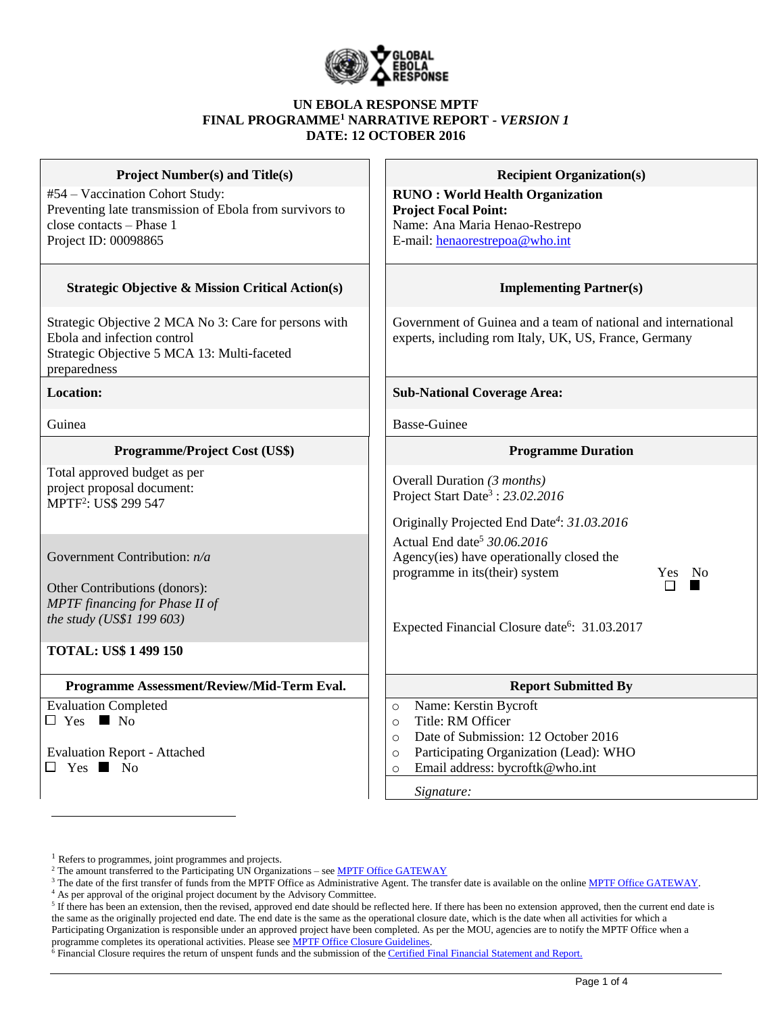

#### **UN EBOLA RESPONSE MPTF FINAL PROGRAMME<sup>1</sup> NARRATIVE REPORT -** *VERSION 1* **DATE: 12 OCTOBER 2016**

| <b>Project Number(s) and Title(s)</b>                                                                                                               | <b>Recipient Organization(s)</b>                                                                                                                                                                                                                                           |  |  |  |
|-----------------------------------------------------------------------------------------------------------------------------------------------------|----------------------------------------------------------------------------------------------------------------------------------------------------------------------------------------------------------------------------------------------------------------------------|--|--|--|
| #54 - Vaccination Cohort Study:<br>Preventing late transmission of Ebola from survivors to<br>close contacts - Phase 1<br>Project ID: 00098865      | <b>RUNO: World Health Organization</b><br><b>Project Focal Point:</b><br>Name: Ana Maria Henao-Restrepo<br>E-mail: henaorestrepoa@who.int                                                                                                                                  |  |  |  |
| <b>Strategic Objective &amp; Mission Critical Action(s)</b>                                                                                         | <b>Implementing Partner(s)</b>                                                                                                                                                                                                                                             |  |  |  |
| Strategic Objective 2 MCA No 3: Care for persons with<br>Ebola and infection control<br>Strategic Objective 5 MCA 13: Multi-faceted<br>preparedness | Government of Guinea and a team of national and international<br>experts, including rom Italy, UK, US, France, Germany                                                                                                                                                     |  |  |  |
| <b>Location:</b>                                                                                                                                    | <b>Sub-National Coverage Area:</b>                                                                                                                                                                                                                                         |  |  |  |
| Guinea                                                                                                                                              | <b>Basse-Guinee</b>                                                                                                                                                                                                                                                        |  |  |  |
| <b>Programme/Project Cost (US\$)</b>                                                                                                                | <b>Programme Duration</b>                                                                                                                                                                                                                                                  |  |  |  |
| Total approved budget as per<br>project proposal document:<br>MPTF <sup>2</sup> : US\$ 299 547<br>Government Contribution: n/a                      | Overall Duration (3 months)<br>Project Start Date <sup>3</sup> : 23.02.2016<br>Originally Projected End Date <sup>4</sup> : 31.03.2016<br>Actual End date <sup>5</sup> 30.06.2016<br>Agency(ies) have operationally closed the<br>programme in its(their) system<br>Yes No |  |  |  |
| Other Contributions (donors):<br>MPTF financing for Phase II of<br>the study (US\$1 199 603)<br><b>TOTAL: US\$ 1 499 150</b>                        | П<br>Expected Financial Closure date <sup>6</sup> : 31.03.2017                                                                                                                                                                                                             |  |  |  |
| Programme Assessment/Review/Mid-Term Eval.                                                                                                          | <b>Report Submitted By</b>                                                                                                                                                                                                                                                 |  |  |  |
| <b>Evaluation Completed</b><br>$\Box$ Yes $\blacksquare$ No<br><b>Evaluation Report - Attached</b><br>$\Box$ Yes $\Box$ No                          | Name: Kerstin Bycroft<br>$\circ$<br>Title: RM Officer<br>$\circ$<br>Date of Submission: 12 October 2016<br>$\circ$<br>Participating Organization (Lead): WHO<br>$\circ$<br>Email address: bycroftk@who.int<br>$\circ$<br>Signature:                                        |  |  |  |

 $\overline{a}$ 

<sup>&</sup>lt;sup>1</sup> Refers to programmes, joint programmes and projects.

<sup>&</sup>lt;sup>2</sup> The amount transferred to the Participating UN Organizations – see **MPTF Office GATEWAY** 

<sup>&</sup>lt;sup>3</sup> The date of the first transfer of funds from the MPTF Office as Administrative Agent. The transfer date is available on the online [MPTF Office GATEWAY.](http://mdtf.undp.org/)

<sup>4</sup> As per approval of the original project document by the Advisory Committee.

 $5$  If there has been an extension, then the revised, approved end date should be reflected here. If there has been no extension approved, then the current end date is the same as the originally projected end date. The end date is the same as the operational closure date, which is the date when all activities for which a Participating Organization is responsible under an approved project have been completed. As per the MOU, agencies are to notify the MPTF Office when a programme completes its operational activities. Please see **MPTF Office Closure Guidelines**.

 $\delta$  Financial Closure requires the return of unspent funds and the submission of th[e Certified Final Financial Statement and Report.](http://mdtf.undp.org/document/download/5388)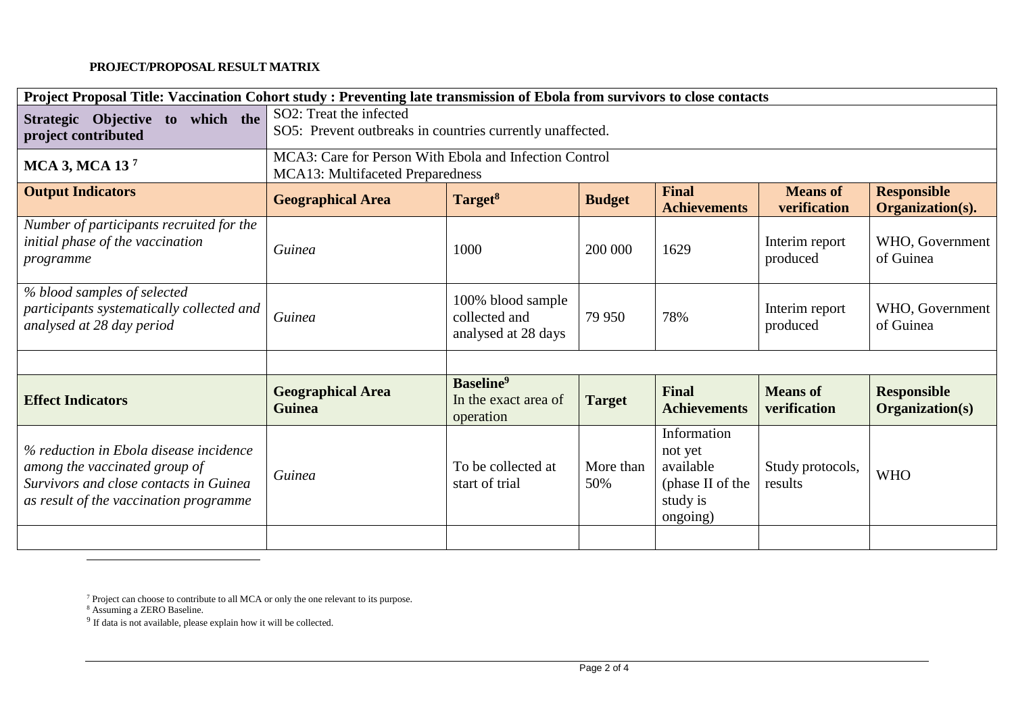## **PROJECT/PROPOSAL RESULT MATRIX**

| Project Proposal Title: Vaccination Cohort study: Preventing late transmission of Ebola from survivors to close contacts                                    |                                                                                            |                                                                   |                  |                                                                                 |                                 |                                        |  |
|-------------------------------------------------------------------------------------------------------------------------------------------------------------|--------------------------------------------------------------------------------------------|-------------------------------------------------------------------|------------------|---------------------------------------------------------------------------------|---------------------------------|----------------------------------------|--|
| Strategic Objective to which the<br>project contributed                                                                                                     | SO2: Treat the infected<br>SO5: Prevent outbreaks in countries currently unaffected.       |                                                                   |                  |                                                                                 |                                 |                                        |  |
| <b>MCA 3, MCA 137</b>                                                                                                                                       | MCA3: Care for Person With Ebola and Infection Control<br>MCA13: Multifaceted Preparedness |                                                                   |                  |                                                                                 |                                 |                                        |  |
| <b>Output Indicators</b>                                                                                                                                    | <b>Geographical Area</b>                                                                   | Target <sup>8</sup>                                               | <b>Budget</b>    | <b>Final</b><br><b>Achievements</b>                                             | <b>Means</b> of<br>verification | <b>Responsible</b><br>Organization(s). |  |
| Number of participants recruited for the<br>initial phase of the vaccination<br>programme                                                                   | Guinea                                                                                     | 1000                                                              | 200 000          | 1629                                                                            | Interim report<br>produced      | WHO, Government<br>of Guinea           |  |
| % blood samples of selected<br>participants systematically collected and<br>analysed at 28 day period                                                       | Guinea                                                                                     | 100% blood sample<br>collected and<br>analysed at 28 days         | 79 950           | 78%                                                                             | Interim report<br>produced      | WHO, Government<br>of Guinea           |  |
|                                                                                                                                                             |                                                                                            |                                                                   |                  |                                                                                 |                                 |                                        |  |
| <b>Effect Indicators</b>                                                                                                                                    | <b>Geographical Area</b><br><b>Guinea</b>                                                  | <b>Baseline</b> <sup>9</sup><br>In the exact area of<br>operation | <b>Target</b>    | <b>Final</b><br><b>Achievements</b>                                             | <b>Means</b> of<br>verification | <b>Responsible</b><br>Organization(s)  |  |
| % reduction in Ebola disease incidence<br>among the vaccinated group of<br>Survivors and close contacts in Guinea<br>as result of the vaccination programme | Guinea                                                                                     | To be collected at<br>start of trial                              | More than<br>50% | Information<br>not yet<br>available<br>(phase II of the<br>study is<br>ongoing) | Study protocols,<br>results     | <b>WHO</b>                             |  |
|                                                                                                                                                             |                                                                                            |                                                                   |                  |                                                                                 |                                 |                                        |  |

 $\overline{a}$ 

 $7$  Project can choose to contribute to all MCA or only the one relevant to its purpose.

<sup>&</sup>lt;sup>8</sup> Assuming a ZERO Baseline.<br><sup>9</sup> If data is not available, please explain how it will be collected.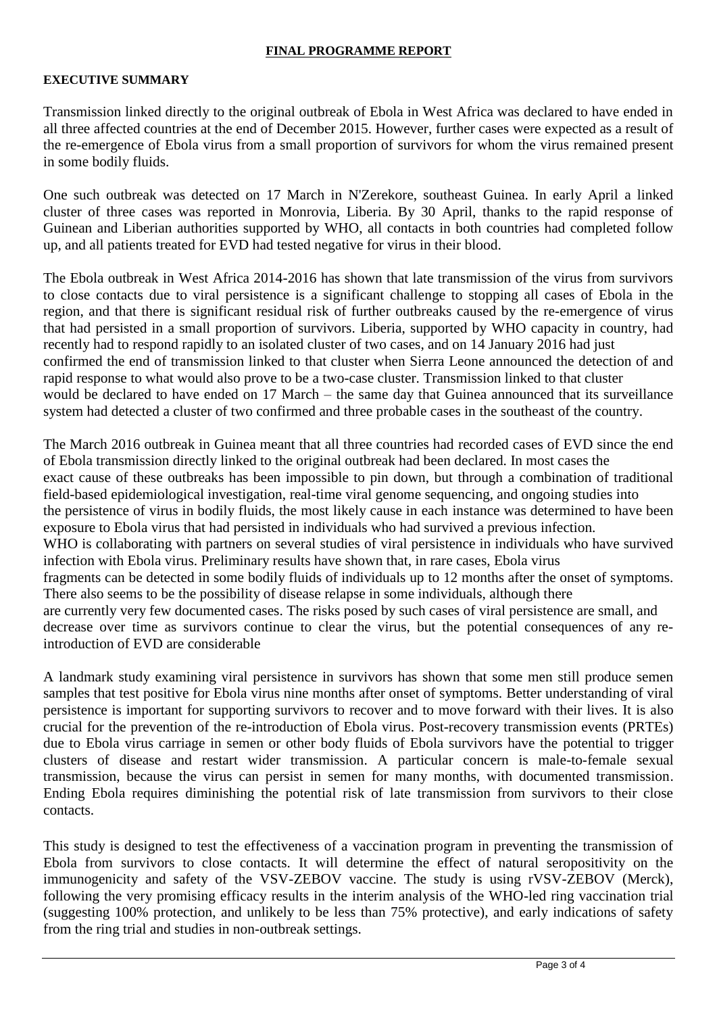## **FINAL PROGRAMME REPORT**

### **EXECUTIVE SUMMARY**

Transmission linked directly to the original outbreak of Ebola in West Africa was declared to have ended in all three affected countries at the end of December 2015. However, further cases were expected as a result of the re-emergence of Ebola virus from a small proportion of survivors for whom the virus remained present in some bodily fluids.

One such outbreak was detected on 17 March in N'Zerekore, southeast Guinea. In early April a linked cluster of three cases was reported in Monrovia, Liberia. By 30 April, thanks to the rapid response of Guinean and Liberian authorities supported by WHO, all contacts in both countries had completed follow up, and all patients treated for EVD had tested negative for virus in their blood.

The Ebola outbreak in West Africa 2014-2016 has shown that late transmission of the virus from survivors to close contacts due to viral persistence is a significant challenge to stopping all cases of Ebola in the region, and that there is significant residual risk of further outbreaks caused by the re-emergence of virus that had persisted in a small proportion of survivors. Liberia, supported by WHO capacity in country, had recently had to respond rapidly to an isolated cluster of two cases, and on 14 January 2016 had just confirmed the end of transmission linked to that cluster when Sierra Leone announced the detection of and rapid response to what would also prove to be a two-case cluster. Transmission linked to that cluster would be declared to have ended on 17 March – the same day that Guinea announced that its surveillance system had detected a cluster of two confirmed and three probable cases in the southeast of the country.

The March 2016 outbreak in Guinea meant that all three countries had recorded cases of EVD since the end of Ebola transmission directly linked to the original outbreak had been declared. In most cases the exact cause of these outbreaks has been impossible to pin down, but through a combination of traditional field-based epidemiological investigation, real-time viral genome sequencing, and ongoing studies into the persistence of virus in bodily fluids, the most likely cause in each instance was determined to have been exposure to Ebola virus that had persisted in individuals who had survived a previous infection. WHO is collaborating with partners on several studies of viral persistence in individuals who have survived infection with Ebola virus. Preliminary results have shown that, in rare cases, Ebola virus fragments can be detected in some bodily fluids of individuals up to 12 months after the onset of symptoms. There also seems to be the possibility of disease relapse in some individuals, although there are currently very few documented cases. The risks posed by such cases of viral persistence are small, and decrease over time as survivors continue to clear the virus, but the potential consequences of any reintroduction of EVD are considerable

A landmark study examining viral persistence in survivors has shown that some men still produce semen samples that test positive for Ebola virus nine months after onset of symptoms. Better understanding of viral persistence is important for supporting survivors to recover and to move forward with their lives. It is also crucial for the prevention of the re-introduction of Ebola virus. Post-recovery transmission events (PRTEs) due to Ebola virus carriage in semen or other body fluids of Ebola survivors have the potential to trigger clusters of disease and restart wider transmission. A particular concern is male-to-female sexual transmission, because the virus can persist in semen for many months, with documented transmission. Ending Ebola requires diminishing the potential risk of late transmission from survivors to their close contacts.

This study is designed to test the effectiveness of a vaccination program in preventing the transmission of Ebola from survivors to close contacts. It will determine the effect of natural seropositivity on the immunogenicity and safety of the VSV-ZEBOV vaccine. The study is using rVSV-ZEBOV (Merck), following the very promising efficacy results in the interim analysis of the WHO-led ring vaccination trial (suggesting 100% protection, and unlikely to be less than 75% protective), and early indications of safety from the ring trial and studies in non-outbreak settings.